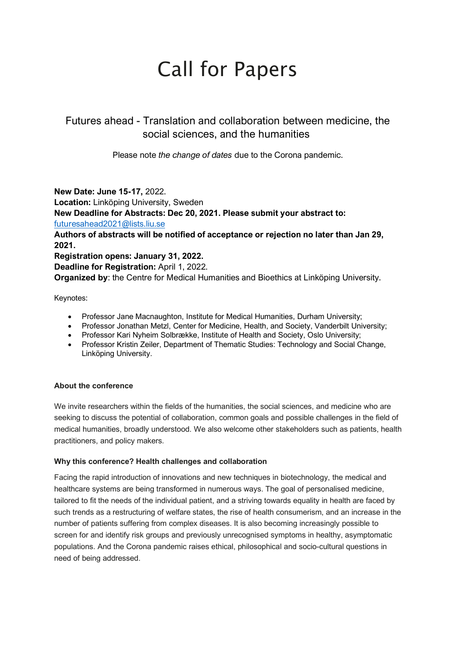# Call for Papers

Futures ahead - Translation and collaboration between medicine, the social sciences, and the humanities

Please note *the change of dates* due to the Corona pandemic.

**New Date: June 15-17,** 2022. **Location:** Linköping University, Sweden **New Deadline for Abstracts: Dec 20, 2021. Please submit your abstract to:**  [futuresahead2021@lists.liu.se](mailto:futuresahead2021@lists.liu.se) **Authors of abstracts will be notified of acceptance or rejection no later than Jan 29, 2021. Registration opens: January 31, 2022. Deadline for Registration:** April 1, 2022.

**Organized by**: the Centre for Medical Humanities and Bioethics at Linköping University.

Keynotes:

- Professor Jane Macnaughton, Institute for Medical Humanities, Durham University;
- Professor Jonathan Metzl, Center for Medicine, Health, and Society, Vanderbilt University;
- Professor Kari Nyheim Solbrække, Institute of Health and Society, Oslo University;
- Professor Kristin Zeiler, Department of Thematic Studies: Technology and Social Change, Linköping University.

## **About the conference**

We invite researchers within the fields of the humanities, the social sciences, and medicine who are seeking to discuss the potential of collaboration, common goals and possible challenges in the field of medical humanities, broadly understood. We also welcome other stakeholders such as patients, health practitioners, and policy makers.

#### **Why this conference? Health challenges and collaboration**

Facing the rapid introduction of innovations and new techniques in biotechnology, the medical and healthcare systems are being transformed in numerous ways. The goal of personalised medicine, tailored to fit the needs of the individual patient, and a striving towards equality in health are faced by such trends as a restructuring of welfare states, the rise of health consumerism, and an increase in the number of patients suffering from complex diseases. It is also becoming increasingly possible to screen for and identify risk groups and previously unrecognised symptoms in healthy, asymptomatic populations. And the Corona pandemic raises ethical, philosophical and socio-cultural questions in need of being addressed.